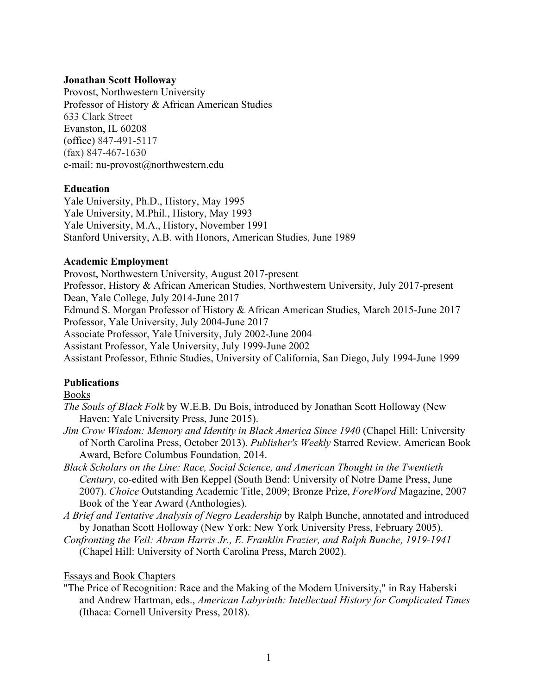## **Jonathan Scott Holloway**

Provost, Northwestern University Professor of History & African American Studies 633 Clark Street Evanston, IL 60208 (office) 847-491-5117 (fax) 847-467-1630 e-mail: nu-provost@northwestern.edu

## **Education**

Yale University, Ph.D., History, May 1995 Yale University, M.Phil., History, May 1993 Yale University, M.A., History, November 1991 Stanford University, A.B. with Honors, American Studies, June 1989

## **Academic Employment**

Provost, Northwestern University, August 2017-present Professor, History & African American Studies, Northwestern University, July 2017-present Dean, Yale College, July 2014-June 2017 Edmund S. Morgan Professor of History & African American Studies, March 2015-June 2017 Professor, Yale University, July 2004-June 2017 Associate Professor, Yale University, July 2002-June 2004 Assistant Professor, Yale University, July 1999-June 2002 Assistant Professor, Ethnic Studies, University of California, San Diego, July 1994-June 1999

## **Publications**

### Books

- *The Souls of Black Folk* by W.E.B. Du Bois, introduced by Jonathan Scott Holloway (New Haven: Yale University Press, June 2015).
- *Jim Crow Wisdom: Memory and Identity in Black America Since 1940* (Chapel Hill: University of North Carolina Press, October 2013). *Publisher's Weekly* Starred Review. American Book Award, Before Columbus Foundation, 2014.
- *Black Scholars on the Line: Race, Social Science, and American Thought in the Twentieth Century*, co-edited with Ben Keppel (South Bend: University of Notre Dame Press, June 2007). *Choice* Outstanding Academic Title, 2009; Bronze Prize, *ForeWord* Magazine, 2007 Book of the Year Award (Anthologies).
- *A Brief and Tentative Analysis of Negro Leadership* by Ralph Bunche, annotated and introduced by Jonathan Scott Holloway (New York: New York University Press, February 2005).
- *Confronting the Veil: Abram Harris Jr., E. Franklin Frazier, and Ralph Bunche, 1919-1941*  (Chapel Hill: University of North Carolina Press, March 2002).

## Essays and Book Chapters

"The Price of Recognition: Race and the Making of the Modern University," in Ray Haberski and Andrew Hartman, eds., *American Labyrinth: Intellectual History for Complicated Times*  (Ithaca: Cornell University Press, 2018).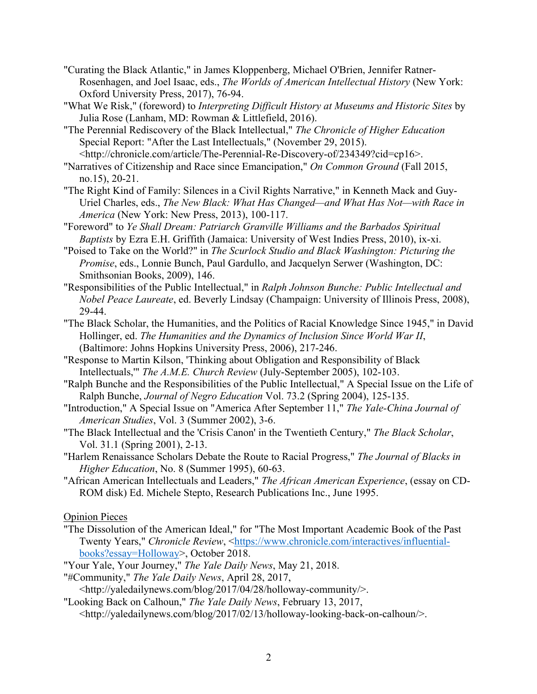"Curating the Black Atlantic," in James Kloppenberg, Michael O'Brien, Jennifer Ratner-Rosenhagen, and Joel Isaac, eds., *The Worlds of American Intellectual History* (New York: Oxford University Press, 2017), 76-94.

"What We Risk," (foreword) to *Interpreting Difficult History at Museums and Historic Sites* by Julia Rose (Lanham, MD: Rowman & Littlefield, 2016).

"The Perennial Rediscovery of the Black Intellectual," *The Chronicle of Higher Education* Special Report: "After the Last Intellectuals," (November 29, 2015).

<http://chronicle.com/article/The-Perennial-Re-Discovery-of/234349?cid=cp16>. "Narratives of Citizenship and Race since Emancipation," *On Common Ground* (Fall 2015, no.15), 20-21.

- "The Right Kind of Family: Silences in a Civil Rights Narrative," in Kenneth Mack and Guy-Uriel Charles, eds., *The New Black: What Has Changed—and What Has Not—with Race in America* (New York: New Press, 2013), 100-117.
- "Foreword" to *Ye Shall Dream: Patriarch Granville Williams and the Barbados Spiritual Baptists* by Ezra E.H. Griffith (Jamaica: University of West Indies Press, 2010), ix-xi.
- "Poised to Take on the World?" in *The Scurlock Studio and Black Washington: Picturing the Promise*, eds., Lonnie Bunch, Paul Gardullo, and Jacquelyn Serwer (Washington, DC: Smithsonian Books, 2009), 146.
- "Responsibilities of the Public Intellectual," in *Ralph Johnson Bunche: Public Intellectual and Nobel Peace Laureate*, ed. Beverly Lindsay (Champaign: University of Illinois Press, 2008), 29-44.
- "The Black Scholar, the Humanities, and the Politics of Racial Knowledge Since 1945," in David Hollinger, ed. *The Humanities and the Dynamics of Inclusion Since World War II*, (Baltimore: Johns Hopkins University Press, 2006), 217-246.
- "Response to Martin Kilson, 'Thinking about Obligation and Responsibility of Black Intellectuals,'" *The A.M.E. Church Review* (July-September 2005), 102-103.
- "Ralph Bunche and the Responsibilities of the Public Intellectual," A Special Issue on the Life of Ralph Bunche, *Journal of Negro Education* Vol. 73.2 (Spring 2004), 125-135.
- "Introduction," A Special Issue on "America After September 11," *The Yale-China Journal of American Studies*, Vol. 3 (Summer 2002), 3-6.
- "The Black Intellectual and the 'Crisis Canon' in the Twentieth Century," *The Black Scholar*, Vol. 31.1 (Spring 2001), 2-13.
- "Harlem Renaissance Scholars Debate the Route to Racial Progress," *The Journal of Blacks in Higher Education*, No. 8 (Summer 1995), 60-63.
- "African American Intellectuals and Leaders," *The African American Experience*, (essay on CD-ROM disk) Ed. Michele Stepto, Research Publications Inc., June 1995.

## Opinion Pieces

- "The Dissolution of the American Ideal," for "The Most Important Academic Book of the Past Twenty Years," *Chronicle Review*, <https://www.chronicle.com/interactives/influentialbooks?essay=Holloway>, October 2018.
- "Your Yale, Your Journey," *The Yale Daily News*, May 21, 2018.
- "#Community," *The Yale Daily News*, April 28, 2017,

<http://yaledailynews.com/blog/2017/04/28/holloway-community/>.

"Looking Back on Calhoun," *The Yale Daily News*, February 13, 2017,

<http://yaledailynews.com/blog/2017/02/13/holloway-looking-back-on-calhoun/>.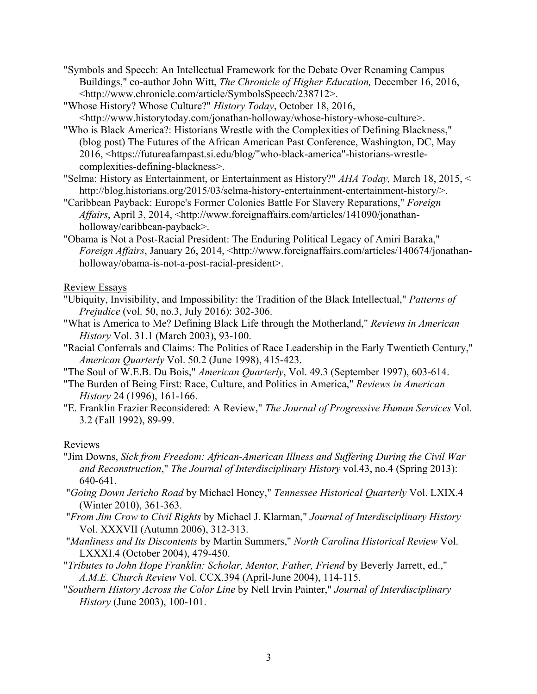- "Symbols and Speech: An Intellectual Framework for the Debate Over Renaming Campus Buildings," co-author John Witt, *The Chronicle of Higher Education,* December 16, 2016, <http://www.chronicle.com/article/SymbolsSpeech/238712>.
- "Whose History? Whose Culture?" *History Today*, October 18, 2016, <http://www.historytoday.com/jonathan-holloway/whose-history-whose-culture>.
- "Who is Black America?: Historians Wrestle with the Complexities of Defining Blackness," (blog post) The Futures of the African American Past Conference, Washington, DC, May 2016, <https://futureafampast.si.edu/blog/"who-black-america"-historians-wrestlecomplexities-defining-blackness>.
- "Selma: History as Entertainment, or Entertainment as History?" *AHA Today,* March 18, 2015, < http://blog.historians.org/2015/03/selma-history-entertainment-entertainment-history/>.
- "Caribbean Payback: Europe's Former Colonies Battle For Slavery Reparations," *Foreign Affairs*, April 3, 2014, <http://www.foreignaffairs.com/articles/141090/jonathanholloway/caribbean-payback>.
- "Obama is Not a Post-Racial President: The Enduring Political Legacy of Amiri Baraka," *Foreign Affairs*, January 26, 2014, <http://www.foreignaffairs.com/articles/140674/jonathanholloway/obama-is-not-a-post-racial-president>.

# Review Essays

- "Ubiquity, Invisibility, and Impossibility: the Tradition of the Black Intellectual," *Patterns of Prejudice* (vol. 50, no.3, July 2016): 302-306.
- "What is America to Me? Defining Black Life through the Motherland," *Reviews in American History* Vol. 31.1 (March 2003), 93-100.
- "Racial Conferrals and Claims: The Politics of Race Leadership in the Early Twentieth Century," *American Quarterly* Vol. 50.2 (June 1998), 415-423.
- "The Soul of W.E.B. Du Bois," *American Quarterly*, Vol. 49.3 (September 1997), 603-614.
- "The Burden of Being First: Race, Culture, and Politics in America," *Reviews in American History* 24 (1996), 161-166.
- "E. Franklin Frazier Reconsidered: A Review," *The Journal of Progressive Human Services* Vol. 3.2 (Fall 1992), 89-99.

# Reviews

- "Jim Downs, *Sick from Freedom: African-American Illness and Suffering During the Civil War and Reconstruction*," *The Journal of Interdisciplinary History* vol.43, no.4 (Spring 2013): 640-641.
- "*Going Down Jericho Road* by Michael Honey," *Tennessee Historical Quarterly* Vol. LXIX.4 (Winter 2010), 361-363.
- "*From Jim Crow to Civil Rights* by Michael J. Klarman," *Journal of Interdisciplinary History*  Vol. XXXVII (Autumn 2006), 312-313.
- "*Manliness and Its Discontents* by Martin Summers," *North Carolina Historical Review* Vol. LXXXI.4 (October 2004), 479-450.
- "*Tributes to John Hope Franklin: Scholar, Mentor, Father, Friend* by Beverly Jarrett, ed.," *A.M.E. Church Review* Vol. CCX.394 (April-June 2004), 114-115.
- "*Southern History Across the Color Line* by Nell Irvin Painter," *Journal of Interdisciplinary History* (June 2003), 100-101.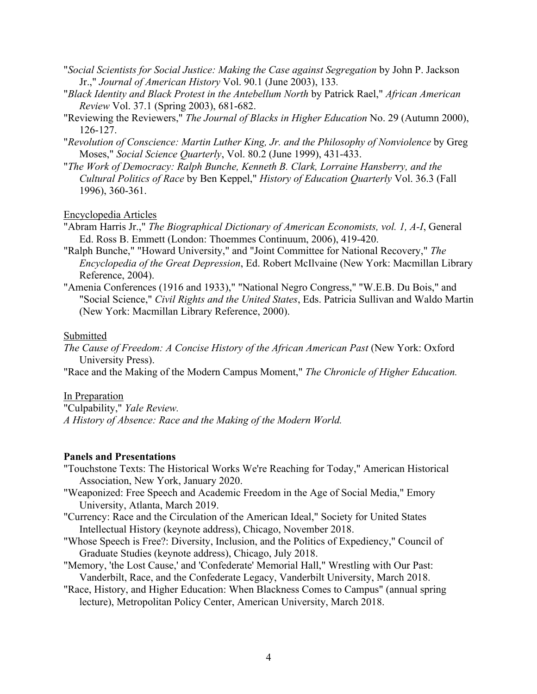- "*Social Scientists for Social Justice: Making the Case against Segregation* by John P. Jackson Jr.," *Journal of American History* Vol. 90.1 (June 2003), 133*.*
- "*Black Identity and Black Protest in the Antebellum North* by Patrick Rael," *African American Review* Vol. 37.1 (Spring 2003), 681-682.
- "Reviewing the Reviewers," *The Journal of Blacks in Higher Education* No. 29 (Autumn 2000), 126-127.
- "*Revolution of Conscience: Martin Luther King, Jr. and the Philosophy of Nonviolence* by Greg Moses," *Social Science Quarterly*, Vol. 80.2 (June 1999), 431-433.
- "*The Work of Democracy: Ralph Bunche, Kenneth B. Clark, Lorraine Hansberry, and the Cultural Politics of Race* by Ben Keppel," *History of Education Quarterly* Vol. 36.3 (Fall 1996), 360-361.

#### Encyclopedia Articles

- "Abram Harris Jr.," *The Biographical Dictionary of American Economists, vol. 1, A-I*, General Ed. Ross B. Emmett (London: Thoemmes Continuum, 2006), 419-420.
- "Ralph Bunche," "Howard University," and "Joint Committee for National Recovery," *The Encyclopedia of the Great Depression*, Ed. Robert McIlvaine (New York: Macmillan Library Reference, 2004).
- "Amenia Conferences (1916 and 1933)," "National Negro Congress," "W.E.B. Du Bois," and "Social Science," *Civil Rights and the United States*, Eds. Patricia Sullivan and Waldo Martin (New York: Macmillan Library Reference, 2000).

#### Submitted

*The Cause of Freedom: A Concise History of the African American Past* (New York: Oxford University Press).

"Race and the Making of the Modern Campus Moment," *The Chronicle of Higher Education.*

### In Preparation

"Culpability," *Yale Review. A History of Absence: Race and the Making of the Modern World.*

#### **Panels and Presentations**

- "Touchstone Texts: The Historical Works We're Reaching for Today," American Historical Association, New York, January 2020.
- "Weaponized: Free Speech and Academic Freedom in the Age of Social Media," Emory University, Atlanta, March 2019.
- "Currency: Race and the Circulation of the American Ideal," Society for United States Intellectual History (keynote address), Chicago, November 2018.
- "Whose Speech is Free?: Diversity, Inclusion, and the Politics of Expediency," Council of Graduate Studies (keynote address), Chicago, July 2018.
- "Memory, 'the Lost Cause,' and 'Confederate' Memorial Hall," Wrestling with Our Past: Vanderbilt, Race, and the Confederate Legacy, Vanderbilt University, March 2018.
- "Race, History, and Higher Education: When Blackness Comes to Campus" (annual spring lecture), Metropolitan Policy Center, American University, March 2018.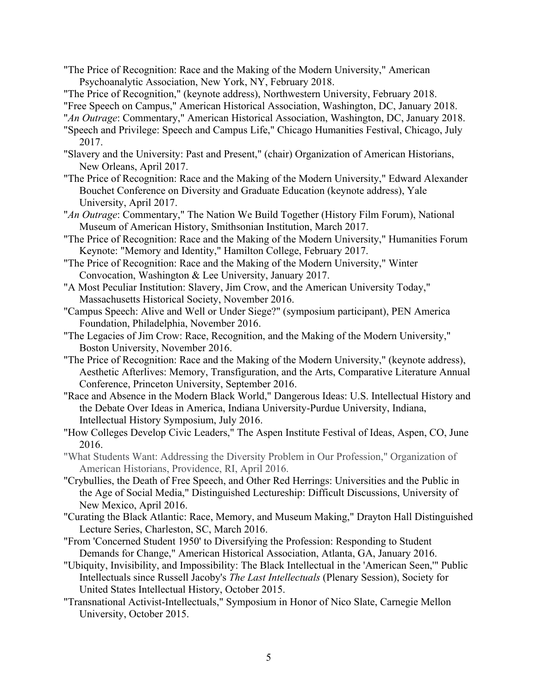- "The Price of Recognition: Race and the Making of the Modern University," American Psychoanalytic Association, New York, NY, February 2018.
- "The Price of Recognition," (keynote address), Northwestern University, February 2018.

"Free Speech on Campus," American Historical Association, Washington, DC, January 2018.

- "*An Outrage*: Commentary," American Historical Association, Washington, DC, January 2018.
- "Speech and Privilege: Speech and Campus Life," Chicago Humanities Festival, Chicago, July 2017.
- "Slavery and the University: Past and Present," (chair) Organization of American Historians, New Orleans, April 2017.
- "The Price of Recognition: Race and the Making of the Modern University," Edward Alexander Bouchet Conference on Diversity and Graduate Education (keynote address), Yale University, April 2017.
- "*An Outrage*: Commentary," The Nation We Build Together (History Film Forum), National Museum of American History, Smithsonian Institution, March 2017.
- "The Price of Recognition: Race and the Making of the Modern University," Humanities Forum Keynote: "Memory and Identity," Hamilton College, February 2017.
- "The Price of Recognition: Race and the Making of the Modern University," Winter Convocation, Washington & Lee University, January 2017.
- "A Most Peculiar Institution: Slavery, Jim Crow, and the American University Today," Massachusetts Historical Society, November 2016.
- "Campus Speech: Alive and Well or Under Siege?" (symposium participant), PEN America Foundation, Philadelphia, November 2016.
- "The Legacies of Jim Crow: Race, Recognition, and the Making of the Modern University," Boston University, November 2016.
- "The Price of Recognition: Race and the Making of the Modern University," (keynote address), Aesthetic Afterlives: Memory, Transfiguration, and the Arts, Comparative Literature Annual Conference, Princeton University, September 2016.
- "Race and Absence in the Modern Black World," Dangerous Ideas: U.S. Intellectual History and the Debate Over Ideas in America, Indiana University-Purdue University, Indiana, Intellectual History Symposium, July 2016.
- "How Colleges Develop Civic Leaders," The Aspen Institute Festival of Ideas, Aspen, CO, June 2016.
- "What Students Want: Addressing the Diversity Problem in Our Profession," Organization of American Historians, Providence, RI, April 2016.
- "Crybullies, the Death of Free Speech, and Other Red Herrings: Universities and the Public in the Age of Social Media," Distinguished Lectureship: Difficult Discussions, University of New Mexico, April 2016.
- "Curating the Black Atlantic: Race, Memory, and Museum Making," Drayton Hall Distinguished Lecture Series, Charleston, SC, March 2016.
- "From 'Concerned Student 1950' to Diversifying the Profession: Responding to Student Demands for Change," American Historical Association, Atlanta, GA, January 2016.
- "Ubiquity, Invisibility, and Impossibility: The Black Intellectual in the 'American Seen,'" Public Intellectuals since Russell Jacoby's *The Last Intellectuals* (Plenary Session), Society for United States Intellectual History, October 2015.
- "Transnational Activist-Intellectuals," Symposium in Honor of Nico Slate, Carnegie Mellon University, October 2015.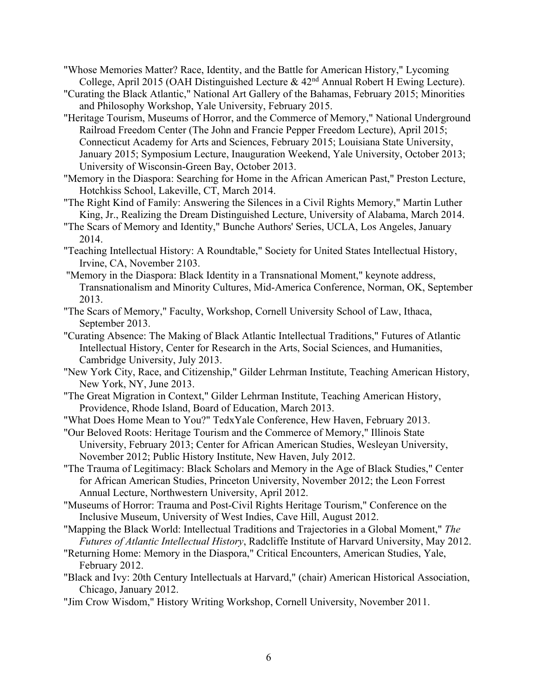- "Whose Memories Matter? Race, Identity, and the Battle for American History," Lycoming College, April 2015 (OAH Distinguished Lecture & 42nd Annual Robert H Ewing Lecture).
- "Curating the Black Atlantic," National Art Gallery of the Bahamas, February 2015; Minorities and Philosophy Workshop, Yale University, February 2015.
- "Heritage Tourism, Museums of Horror, and the Commerce of Memory," National Underground Railroad Freedom Center (The John and Francie Pepper Freedom Lecture), April 2015; Connecticut Academy for Arts and Sciences, February 2015; Louisiana State University, January 2015; Symposium Lecture, Inauguration Weekend, Yale University, October 2013; University of Wisconsin-Green Bay, October 2013.
- "Memory in the Diaspora: Searching for Home in the African American Past," Preston Lecture, Hotchkiss School, Lakeville, CT, March 2014.
- "The Right Kind of Family: Answering the Silences in a Civil Rights Memory," Martin Luther King, Jr., Realizing the Dream Distinguished Lecture, University of Alabama, March 2014.
- "The Scars of Memory and Identity," Bunche Authors' Series, UCLA, Los Angeles, January 2014.
- "Teaching Intellectual History: A Roundtable," Society for United States Intellectual History, Irvine, CA, November 2103.
- "Memory in the Diaspora: Black Identity in a Transnational Moment," keynote address, Transnationalism and Minority Cultures, Mid-America Conference, Norman, OK, September 2013.
- "The Scars of Memory," Faculty, Workshop, Cornell University School of Law, Ithaca, September 2013.
- "Curating Absence: The Making of Black Atlantic Intellectual Traditions," Futures of Atlantic Intellectual History, Center for Research in the Arts, Social Sciences, and Humanities, Cambridge University, July 2013.
- "New York City, Race, and Citizenship," Gilder Lehrman Institute, Teaching American History, New York, NY, June 2013.
- "The Great Migration in Context," Gilder Lehrman Institute, Teaching American History, Providence, Rhode Island, Board of Education, March 2013.
- "What Does Home Mean to You?" TedxYale Conference, Hew Haven, February 2013.
- "Our Beloved Roots: Heritage Tourism and the Commerce of Memory," Illinois State University, February 2013; Center for African American Studies, Wesleyan University, November 2012; Public History Institute, New Haven, July 2012.
- "The Trauma of Legitimacy: Black Scholars and Memory in the Age of Black Studies," Center for African American Studies, Princeton University, November 2012; the Leon Forrest Annual Lecture, Northwestern University, April 2012.
- "Museums of Horror: Trauma and Post-Civil Rights Heritage Tourism," Conference on the Inclusive Museum, University of West Indies, Cave Hill, August 2012.
- "Mapping the Black World: Intellectual Traditions and Trajectories in a Global Moment," *The Futures of Atlantic Intellectual History*, Radcliffe Institute of Harvard University, May 2012.
- "Returning Home: Memory in the Diaspora," Critical Encounters, American Studies, Yale, February 2012.
- "Black and Ivy: 20th Century Intellectuals at Harvard," (chair) American Historical Association, Chicago, January 2012.
- "Jim Crow Wisdom," History Writing Workshop, Cornell University, November 2011.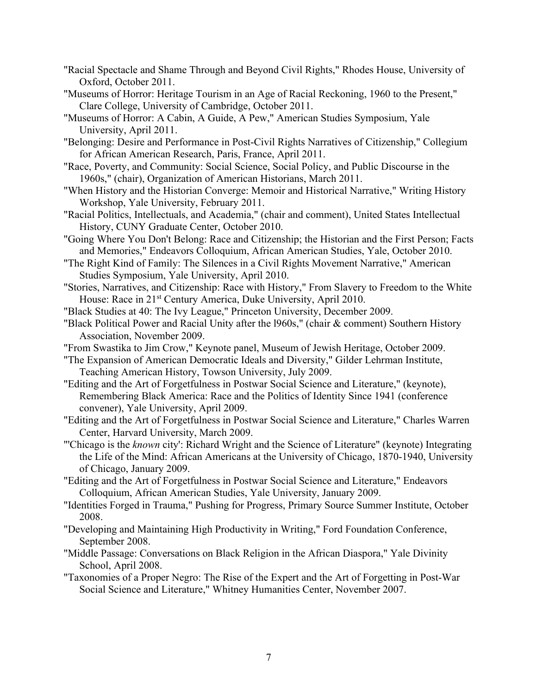- "Racial Spectacle and Shame Through and Beyond Civil Rights," Rhodes House, University of Oxford, October 2011.
- "Museums of Horror: Heritage Tourism in an Age of Racial Reckoning, 1960 to the Present," Clare College, University of Cambridge, October 2011.
- "Museums of Horror: A Cabin, A Guide, A Pew," American Studies Symposium, Yale University, April 2011.
- "Belonging: Desire and Performance in Post-Civil Rights Narratives of Citizenship," Collegium for African American Research, Paris, France, April 2011.
- "Race, Poverty, and Community: Social Science, Social Policy, and Public Discourse in the 1960s," (chair), Organization of American Historians, March 2011.
- "When History and the Historian Converge: Memoir and Historical Narrative," Writing History Workshop, Yale University, February 2011.
- "Racial Politics, Intellectuals, and Academia," (chair and comment), United States Intellectual History, CUNY Graduate Center, October 2010.
- "Going Where You Don't Belong: Race and Citizenship; the Historian and the First Person; Facts and Memories," Endeavors Colloquium, African American Studies, Yale, October 2010.
- "The Right Kind of Family: The Silences in a Civil Rights Movement Narrative," American Studies Symposium, Yale University, April 2010.
- "Stories, Narratives, and Citizenship: Race with History," From Slavery to Freedom to the White House: Race in 21<sup>st</sup> Century America, Duke University, April 2010.
- "Black Studies at 40: The Ivy League," Princeton University, December 2009.
- "Black Political Power and Racial Unity after the l960s," (chair & comment) Southern History Association, November 2009.
- "From Swastika to Jim Crow," Keynote panel, Museum of Jewish Heritage, October 2009.
- "The Expansion of American Democratic Ideals and Diversity," Gilder Lehrman Institute, Teaching American History, Towson University, July 2009.
- "Editing and the Art of Forgetfulness in Postwar Social Science and Literature," (keynote), Remembering Black America: Race and the Politics of Identity Since 1941 (conference convener), Yale University, April 2009.
- "Editing and the Art of Forgetfulness in Postwar Social Science and Literature," Charles Warren Center, Harvard University, March 2009.
- "'Chicago is the *known* city': Richard Wright and the Science of Literature" (keynote) Integrating the Life of the Mind: African Americans at the University of Chicago, 1870-1940, University of Chicago, January 2009.
- "Editing and the Art of Forgetfulness in Postwar Social Science and Literature," Endeavors Colloquium, African American Studies, Yale University, January 2009.
- "Identities Forged in Trauma," Pushing for Progress, Primary Source Summer Institute, October 2008.
- "Developing and Maintaining High Productivity in Writing," Ford Foundation Conference, September 2008.
- "Middle Passage: Conversations on Black Religion in the African Diaspora," Yale Divinity School, April 2008.
- "Taxonomies of a Proper Negro: The Rise of the Expert and the Art of Forgetting in Post-War Social Science and Literature," Whitney Humanities Center, November 2007.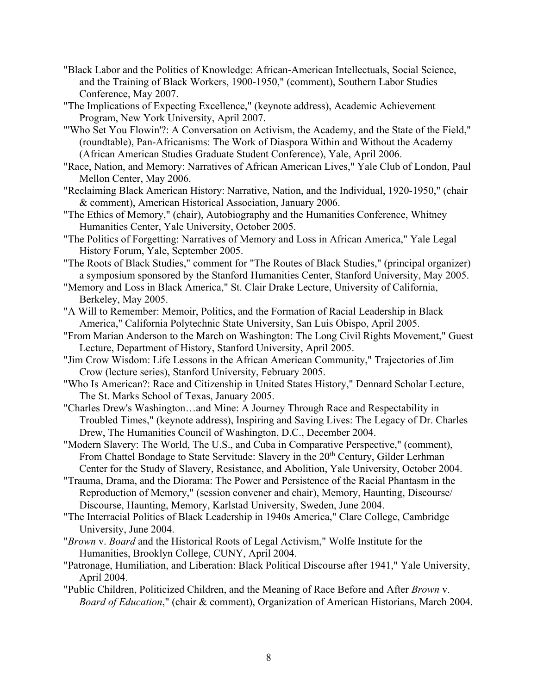- "Black Labor and the Politics of Knowledge: African-American Intellectuals, Social Science, and the Training of Black Workers, 1900-1950," (comment), Southern Labor Studies Conference, May 2007.
- "The Implications of Expecting Excellence," (keynote address), Academic Achievement Program, New York University, April 2007.
- "'Who Set You Flowin'?: A Conversation on Activism, the Academy, and the State of the Field," (roundtable), Pan-Africanisms: The Work of Diaspora Within and Without the Academy (African American Studies Graduate Student Conference), Yale, April 2006.
- "Race, Nation, and Memory: Narratives of African American Lives," Yale Club of London, Paul Mellon Center, May 2006.
- "Reclaiming Black American History: Narrative, Nation, and the Individual, 1920-1950," (chair & comment), American Historical Association, January 2006.
- "The Ethics of Memory," (chair), Autobiography and the Humanities Conference, Whitney Humanities Center, Yale University, October 2005.
- "The Politics of Forgetting: Narratives of Memory and Loss in African America," Yale Legal History Forum, Yale, September 2005.
- "The Roots of Black Studies," comment for "The Routes of Black Studies," (principal organizer) a symposium sponsored by the Stanford Humanities Center, Stanford University, May 2005.
- "Memory and Loss in Black America," St. Clair Drake Lecture, University of California, Berkeley, May 2005.
- "A Will to Remember: Memoir, Politics, and the Formation of Racial Leadership in Black America," California Polytechnic State University, San Luis Obispo, April 2005.
- "From Marian Anderson to the March on Washington: The Long Civil Rights Movement," Guest Lecture, Department of History, Stanford University, April 2005.
- "Jim Crow Wisdom: Life Lessons in the African American Community," Trajectories of Jim Crow (lecture series), Stanford University, February 2005.
- "Who Is American?: Race and Citizenship in United States History," Dennard Scholar Lecture, The St. Marks School of Texas, January 2005.
- "Charles Drew's Washington…and Mine: A Journey Through Race and Respectability in Troubled Times," (keynote address), Inspiring and Saving Lives: The Legacy of Dr. Charles Drew, The Humanities Council of Washington, D.C., December 2004.
- "Modern Slavery: The World, The U.S., and Cuba in Comparative Perspective," (comment), From Chattel Bondage to State Servitude: Slavery in the 20<sup>th</sup> Century, Gilder Lerhman Center for the Study of Slavery, Resistance, and Abolition, Yale University, October 2004.
- "Trauma, Drama, and the Diorama: The Power and Persistence of the Racial Phantasm in the Reproduction of Memory," (session convener and chair), Memory, Haunting, Discourse/ Discourse, Haunting, Memory, Karlstad University, Sweden, June 2004.
- "The Interracial Politics of Black Leadership in 1940s America," Clare College, Cambridge University, June 2004.
- "*Brown* v. *Board* and the Historical Roots of Legal Activism," Wolfe Institute for the Humanities, Brooklyn College, CUNY, April 2004.
- "Patronage, Humiliation, and Liberation: Black Political Discourse after 1941," Yale University, April 2004.
- "Public Children, Politicized Children, and the Meaning of Race Before and After *Brown* v. *Board of Education*," (chair & comment), Organization of American Historians, March 2004.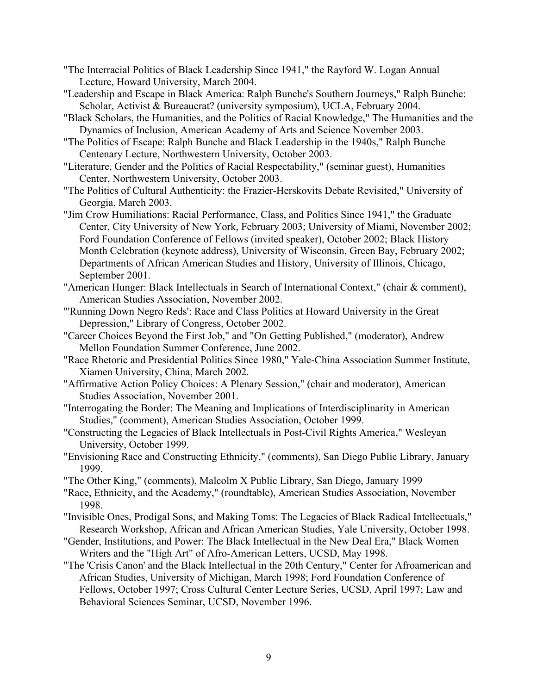- "The Interracial Politics of Black Leadership Since 1941," the Rayford W. Logan Annual Lecture, Howard University, March 2004.
- "Leadership and Escape in Black America: Ralph Bunche's Southern Journeys," Ralph Bunche: Scholar, Activist & Bureaucrat? (university symposium), UCLA, February 2004.
- "Black Scholars, the Humanities, and the Politics of Racial Knowledge," The Humanities and the Dynamics of Inclusion, American Academy of Arts and Science November 2003.
- "The Politics of Escape: Ralph Bunche and Black Leadership in the 1940s," Ralph Bunche Centenary Lecture, Northwestern University, October 2003.
- "Literature, Gender and the Politics of Racial Respectability," (seminar guest), Humanities Center, Northwestern University, October 2003.
- "The Politics of Cultural Authenticity: the Frazier-Herskovits Debate Revisited," University of Georgia, March 2003.
- "Jim Crow Humiliations: Racial Performance, Class, and Politics Since 1941," the Graduate Center, City University of New York, February 2003; University of Miami, November 2002; Ford Foundation Conference of Fellows (invited speaker), October 2002; Black History Month Celebration (keynote address), University of Wisconsin, Green Bay, February 2002; Departments of African American Studies and History, University of Illinois, Chicago, September 2001.
- "American Hunger: Black Intellectuals in Search of International Context," (chair & comment), American Studies Association, November 2002.
- "'Running Down Negro Reds': Race and Class Politics at Howard University in the Great Depression," Library of Congress, October 2002.
- "Career Choices Beyond the First Job," and "On Getting Published," (moderator), Andrew Mellon Foundation Summer Conference, June 2002.
- "Race Rhetoric and Presidential Politics Since 1980," Yale-China Association Summer Institute, Xiamen University, China, March 2002.
- "Affirmative Action Policy Choices: A Plenary Session," (chair and moderator), American Studies Association, November 2001.
- "Interrogating the Border: The Meaning and Implications of Interdisciplinarity in American Studies," (comment), American Studies Association, October 1999.
- "Constructing the Legacies of Black Intellectuals in Post-Civil Rights America," Wesleyan University, October 1999.
- "Envisioning Race and Constructing Ethnicity," (comments), San Diego Public Library, January 1999.
- "The Other King," (comments), Malcolm X Public Library, San Diego, January 1999
- "Race, Ethnicity, and the Academy," (roundtable), American Studies Association, November 1998.
- "Invisible Ones, Prodigal Sons, and Making Toms: The Legacies of Black Radical Intellectuals," Research Workshop, African and African American Studies, Yale University, October 1998.
- "Gender, Institutions, and Power: The Black Intellectual in the New Deal Era," Black Women Writers and the "High Art" of Afro-American Letters, UCSD, May 1998.
- "The 'Crisis Canon' and the Black Intellectual in the 20th Century," Center for Afroamerican and African Studies, University of Michigan, March 1998; Ford Foundation Conference of Fellows, October 1997; Cross Cultural Center Lecture Series, UCSD, April 1997; Law and Behavioral Sciences Seminar, UCSD, November 1996.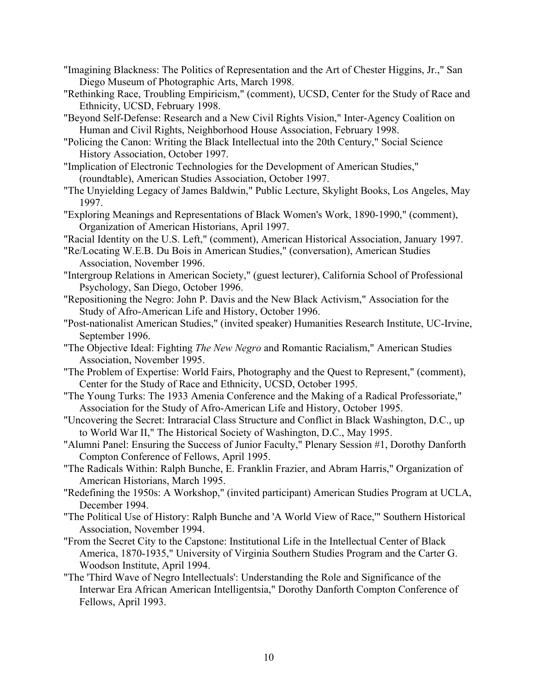- "Imagining Blackness: The Politics of Representation and the Art of Chester Higgins, Jr.," San Diego Museum of Photographic Arts, March 1998.
- "Rethinking Race, Troubling Empiricism," (comment), UCSD, Center for the Study of Race and Ethnicity, UCSD, February 1998.
- "Beyond Self-Defense: Research and a New Civil Rights Vision," Inter-Agency Coalition on Human and Civil Rights, Neighborhood House Association, February 1998.
- "Policing the Canon: Writing the Black Intellectual into the 20th Century," Social Science History Association, October 1997.
- "Implication of Electronic Technologies for the Development of American Studies," (roundtable), American Studies Association, October 1997.
- "The Unyielding Legacy of James Baldwin," Public Lecture, Skylight Books, Los Angeles, May 1997.
- "Exploring Meanings and Representations of Black Women's Work, 1890-1990," (comment), Organization of American Historians, April 1997.
- "Racial Identity on the U.S. Left," (comment), American Historical Association, January 1997.
- "Re/Locating W.E.B. Du Bois in American Studies," (conversation), American Studies Association, November 1996.
- "Intergroup Relations in American Society," (guest lecturer), California School of Professional Psychology, San Diego, October 1996.
- "Repositioning the Negro: John P. Davis and the New Black Activism," Association for the Study of Afro-American Life and History, October 1996.
- "Post-nationalist American Studies," (invited speaker) Humanities Research Institute, UC-Irvine, September 1996.
- "The Objective Ideal: Fighting *The New Negro* and Romantic Racialism," American Studies Association, November 1995.
- "The Problem of Expertise: World Fairs, Photography and the Quest to Represent," (comment), Center for the Study of Race and Ethnicity, UCSD, October 1995.
- "The Young Turks: The 1933 Amenia Conference and the Making of a Radical Professoriate," Association for the Study of Afro-American Life and History, October 1995.
- "Uncovering the Secret: Intraracial Class Structure and Conflict in Black Washington, D.C., up to World War II," The Historical Society of Washington, D.C., May 1995.
- "Alumni Panel: Ensuring the Success of Junior Faculty," Plenary Session #1, Dorothy Danforth Compton Conference of Fellows, April 1995.
- "The Radicals Within: Ralph Bunche, E. Franklin Frazier, and Abram Harris," Organization of American Historians, March 1995.
- "Redefining the 1950s: A Workshop," (invited participant) American Studies Program at UCLA, December 1994.
- "The Political Use of History: Ralph Bunche and 'A World View of Race,'" Southern Historical Association, November 1994.
- "From the Secret City to the Capstone: Institutional Life in the Intellectual Center of Black America, 1870-1935," University of Virginia Southern Studies Program and the Carter G. Woodson Institute, April 1994.
- "The 'Third Wave of Negro Intellectuals': Understanding the Role and Significance of the Interwar Era African American Intelligentsia," Dorothy Danforth Compton Conference of Fellows, April 1993.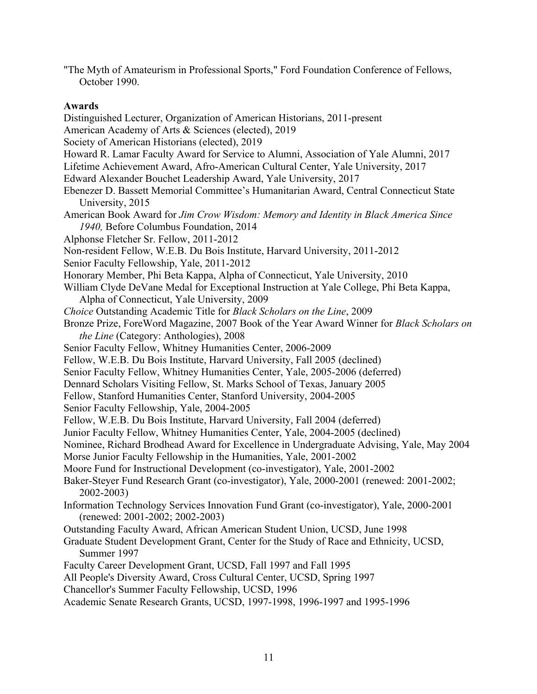"The Myth of Amateurism in Professional Sports," Ford Foundation Conference of Fellows, October 1990.

## **Awards**

Distinguished Lecturer, Organization of American Historians, 2011-present American Academy of Arts & Sciences (elected), 2019 Society of American Historians (elected), 2019 Howard R. Lamar Faculty Award for Service to Alumni, Association of Yale Alumni, 2017 Lifetime Achievement Award, Afro-American Cultural Center, Yale University, 2017 Edward Alexander Bouchet Leadership Award, Yale University, 2017 Ebenezer D. Bassett Memorial Committee's Humanitarian Award, Central Connecticut State University, 2015 American Book Award for *Jim Crow Wisdom: Memory and Identity in Black America Since 1940,* Before Columbus Foundation, 2014 Alphonse Fletcher Sr. Fellow, 2011-2012 Non-resident Fellow, W.E.B. Du Bois Institute, Harvard University, 2011-2012 Senior Faculty Fellowship, Yale, 2011-2012 Honorary Member, Phi Beta Kappa, Alpha of Connecticut, Yale University, 2010 William Clyde DeVane Medal for Exceptional Instruction at Yale College, Phi Beta Kappa, Alpha of Connecticut, Yale University, 2009 *Choice* Outstanding Academic Title for *Black Scholars on the Line*, 2009 Bronze Prize, ForeWord Magazine, 2007 Book of the Year Award Winner for *Black Scholars on the Line* (Category: Anthologies), 2008 Senior Faculty Fellow, Whitney Humanities Center, 2006-2009 Fellow, W.E.B. Du Bois Institute, Harvard University, Fall 2005 (declined) Senior Faculty Fellow, Whitney Humanities Center, Yale, 2005-2006 (deferred) Dennard Scholars Visiting Fellow, St. Marks School of Texas, January 2005 Fellow, Stanford Humanities Center, Stanford University, 2004-2005 Senior Faculty Fellowship, Yale, 2004-2005 Fellow, W.E.B. Du Bois Institute, Harvard University, Fall 2004 (deferred) Junior Faculty Fellow, Whitney Humanities Center, Yale, 2004-2005 (declined) Nominee, Richard Brodhead Award for Excellence in Undergraduate Advising, Yale, May 2004 Morse Junior Faculty Fellowship in the Humanities, Yale, 2001-2002 Moore Fund for Instructional Development (co-investigator), Yale, 2001-2002 Baker-Steyer Fund Research Grant (co-investigator), Yale, 2000-2001 (renewed: 2001-2002; 2002-2003) Information Technology Services Innovation Fund Grant (co-investigator), Yale, 2000-2001 (renewed: 2001-2002; 2002-2003) Outstanding Faculty Award, African American Student Union, UCSD, June 1998 Graduate Student Development Grant, Center for the Study of Race and Ethnicity, UCSD, Summer 1997 Faculty Career Development Grant, UCSD, Fall 1997 and Fall 1995 All People's Diversity Award, Cross Cultural Center, UCSD, Spring 1997 Chancellor's Summer Faculty Fellowship, UCSD, 1996

Academic Senate Research Grants, UCSD, 1997-1998, 1996-1997 and 1995-1996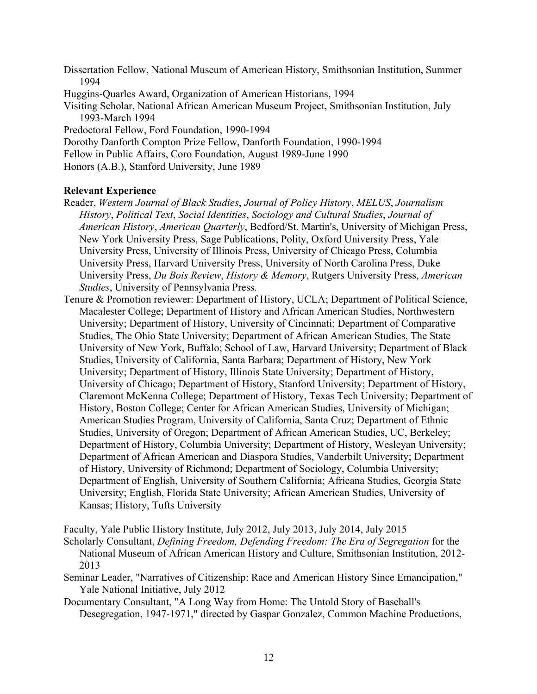Dissertation Fellow, National Museum of American History, Smithsonian Institution, Summer 1994 Huggins-Quarles Award, Organization of American Historians, 1994 Visiting Scholar, National African American Museum Project, Smithsonian Institution, July 1993-March 1994 Predoctoral Fellow, Ford Foundation, 1990-1994 Dorothy Danforth Compton Prize Fellow, Danforth Foundation, 1990-1994 Fellow in Public Affairs, Coro Foundation, August 1989-June 1990 Honors (A.B.), Stanford University, June 1989

## **Relevant Experience**

- Reader, *Western Journal of Black Studies*, *Journal of Policy History*, *MELUS*, *Journalism History*, *Political Text*, *Social Identities*, *Sociology and Cultural Studies*, *Journal of American History*, *American Quarterly*, Bedford/St. Martin's, University of Michigan Press, New York University Press, Sage Publications, Polity, Oxford University Press, Yale University Press, University of Illinois Press, University of Chicago Press, Columbia University Press, Harvard University Press, University of North Carolina Press, Duke University Press, *Du Bois Review*, *History & Memory*, Rutgers University Press, *American Studies*, University of Pennsylvania Press.
- Tenure & Promotion reviewer: Department of History, UCLA; Department of Political Science, Macalester College; Department of History and African American Studies, Northwestern University; Department of History, University of Cincinnati; Department of Comparative Studies, The Ohio State University; Department of African American Studies, The State University of New York, Buffalo; School of Law, Harvard University; Department of Black Studies, University of California, Santa Barbara; Department of History, New York University; Department of History, Illinois State University; Department of History, University of Chicago; Department of History, Stanford University; Department of History, Claremont McKenna College; Department of History, Texas Tech University; Department of History, Boston College; Center for African American Studies, University of Michigan; American Studies Program, University of California, Santa Cruz; Department of Ethnic Studies, University of Oregon; Department of African American Studies, UC, Berkeley; Department of History, Columbia University; Department of History, Wesleyan University; Department of African American and Diaspora Studies, Vanderbilt University; Department of History, University of Richmond; Department of Sociology, Columbia University; Department of English, University of Southern California; Africana Studies, Georgia State University; English, Florida State University; African American Studies, University of Kansas; History, Tufts University

Faculty, Yale Public History Institute, July 2012, July 2013, July 2014, July 2015

Scholarly Consultant, *Defining Freedom, Defending Freedom: The Era of Segregation* for the National Museum of African American History and Culture, Smithsonian Institution, 2012- 2013

Seminar Leader, "Narratives of Citizenship: Race and American History Since Emancipation," Yale National Initiative, July 2012

Documentary Consultant, "A Long Way from Home: The Untold Story of Baseball's Desegregation, 1947-1971," directed by Gaspar Gonzalez, Common Machine Productions,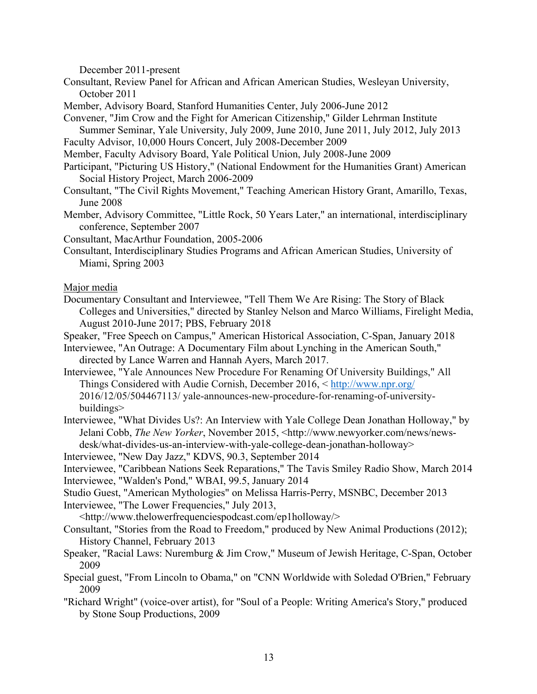December 2011-present

- Consultant, Review Panel for African and African American Studies, Wesleyan University, October 2011
- Member, Advisory Board, Stanford Humanities Center, July 2006-June 2012
- Convener, "Jim Crow and the Fight for American Citizenship," Gilder Lehrman Institute Summer Seminar, Yale University, July 2009, June 2010, June 2011, July 2012, July 2013
- Faculty Advisor, 10,000 Hours Concert, July 2008-December 2009
- Member, Faculty Advisory Board, Yale Political Union, July 2008-June 2009
- Participant, "Picturing US History," (National Endowment for the Humanities Grant) American Social History Project, March 2006-2009
- Consultant, "The Civil Rights Movement," Teaching American History Grant, Amarillo, Texas, June 2008
- Member, Advisory Committee, "Little Rock, 50 Years Later," an international, interdisciplinary conference, September 2007
- Consultant, MacArthur Foundation, 2005-2006
- Consultant, Interdisciplinary Studies Programs and African American Studies, University of Miami, Spring 2003

Major media

Documentary Consultant and Interviewee, "Tell Them We Are Rising: The Story of Black Colleges and Universities," directed by Stanley Nelson and Marco Williams, Firelight Media, August 2010-June 2017; PBS, February 2018

Speaker, "Free Speech on Campus," American Historical Association, C-Span, January 2018

- Interviewee, "An Outrage: A Documentary Film about Lynching in the American South," directed by Lance Warren and Hannah Ayers, March 2017.
- Interviewee, "Yale Announces New Procedure For Renaming Of University Buildings," All Things Considered with Audie Cornish, December 2016, < http://www.npr.org/ 2016/12/05/504467113/ yale-announces-new-procedure-for-renaming-of-universitybuildings>
- Interviewee, "What Divides Us?: An Interview with Yale College Dean Jonathan Holloway," by Jelani Cobb, *The New Yorker*, November 2015, <http://www.newyorker.com/news/newsdesk/what-divides-us-an-interview-with-yale-college-dean-jonathan-holloway>

Interviewee, "New Day Jazz," KDVS, 90.3, September 2014

Interviewee, "Caribbean Nations Seek Reparations," The Tavis Smiley Radio Show, March 2014 Interviewee, "Walden's Pond," WBAI, 99.5, January 2014

- Studio Guest, "American Mythologies" on Melissa Harris-Perry, MSNBC, December 2013
- Interviewee, "The Lower Frequencies," July 2013,
- <http://www.thelowerfrequenciespodcast.com/ep1holloway/>
- Consultant, "Stories from the Road to Freedom," produced by New Animal Productions (2012); History Channel, February 2013
- Speaker, "Racial Laws: Nuremburg & Jim Crow," Museum of Jewish Heritage, C-Span, October 2009
- Special guest, "From Lincoln to Obama," on "CNN Worldwide with Soledad O'Brien," February 2009
- "Richard Wright" (voice-over artist), for "Soul of a People: Writing America's Story," produced by Stone Soup Productions, 2009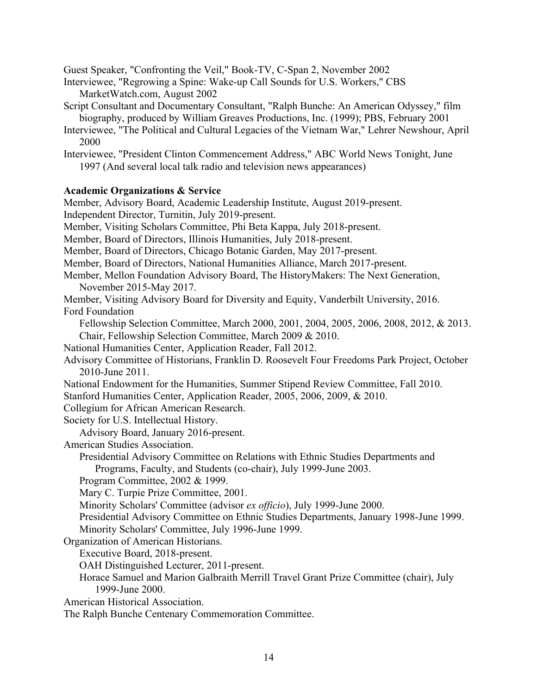Guest Speaker, "Confronting the Veil," Book-TV, C-Span 2, November 2002

- Interviewee, "Regrowing a Spine: Wake-up Call Sounds for U.S. Workers," CBS MarketWatch.com, August 2002
- Script Consultant and Documentary Consultant, "Ralph Bunche: An American Odyssey," film biography, produced by William Greaves Productions, Inc. (1999); PBS, February 2001
- Interviewee, "The Political and Cultural Legacies of the Vietnam War," Lehrer Newshour, April 2000

Interviewee, "President Clinton Commencement Address," ABC World News Tonight, June 1997 (And several local talk radio and television news appearances)

# **Academic Organizations & Service**

Member, Advisory Board, Academic Leadership Institute, August 2019-present. Independent Director, Turnitin, July 2019-present. Member, Visiting Scholars Committee, Phi Beta Kappa, July 2018-present. Member, Board of Directors, Illinois Humanities, July 2018-present. Member, Board of Directors, Chicago Botanic Garden, May 2017-present. Member, Board of Directors, National Humanities Alliance, March 2017-present. Member, Mellon Foundation Advisory Board, The HistoryMakers: The Next Generation, November 2015-May 2017. Member, Visiting Advisory Board for Diversity and Equity, Vanderbilt University, 2016. Ford Foundation Fellowship Selection Committee, March 2000, 2001, 2004, 2005, 2006, 2008, 2012, & 2013. Chair, Fellowship Selection Committee, March 2009 & 2010. National Humanities Center, Application Reader, Fall 2012. Advisory Committee of Historians, Franklin D. Roosevelt Four Freedoms Park Project, October 2010-June 2011. National Endowment for the Humanities, Summer Stipend Review Committee, Fall 2010. Stanford Humanities Center, Application Reader, 2005, 2006, 2009, & 2010. Collegium for African American Research. Society for U.S. Intellectual History. Advisory Board, January 2016-present. American Studies Association. Presidential Advisory Committee on Relations with Ethnic Studies Departments and Programs, Faculty, and Students (co-chair), July 1999-June 2003. Program Committee, 2002 & 1999. Mary C. Turpie Prize Committee, 2001. Minority Scholars' Committee (advisor *ex officio*), July 1999-June 2000. Presidential Advisory Committee on Ethnic Studies Departments, January 1998-June 1999. Minority Scholars' Committee, July 1996-June 1999. Organization of American Historians. Executive Board, 2018-present. OAH Distinguished Lecturer, 2011-present. Horace Samuel and Marion Galbraith Merrill Travel Grant Prize Committee (chair), July 1999-June 2000. American Historical Association.

The Ralph Bunche Centenary Commemoration Committee.